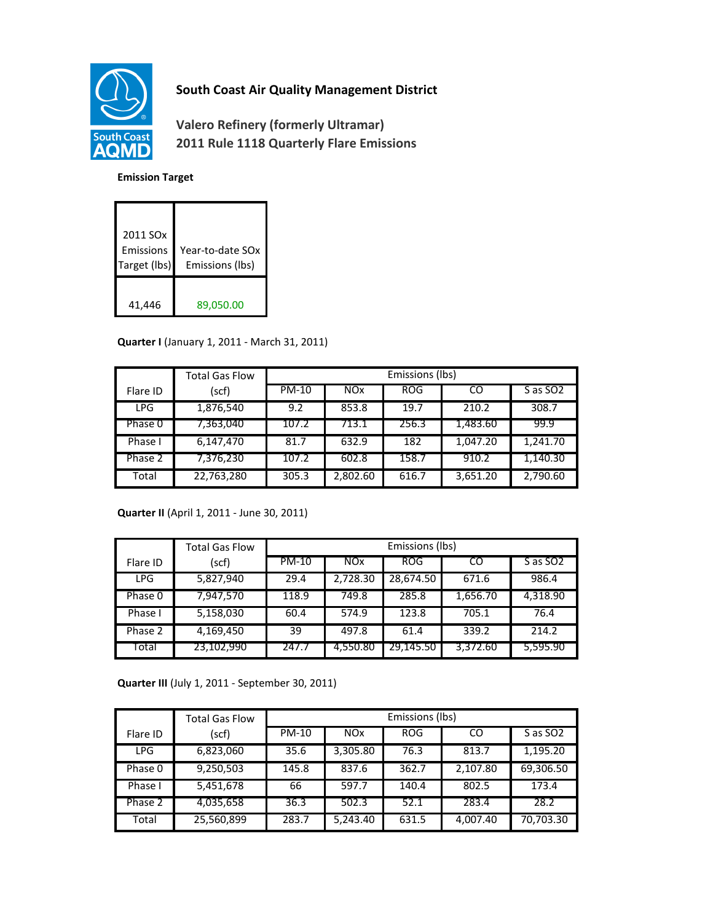

# **South Coast Air Quality Management District**

**Valero Refinery (formerly Ultramar) 2011 Rule 1118 Quarterly Flare Emissions**

#### **Emission Target**

| 2011 SO <sub>x</sub><br>Emissions<br>Target (lbs) | Year-to-date SOx<br>Emissions (lbs) |
|---------------------------------------------------|-------------------------------------|
| 41,446                                            | 89,050.00                           |

### **Quarter I** (January 1, 2011 - March 31, 2011)

|            | <b>Total Gas Flow</b> | Emissions (lbs) |            |            |          |                      |
|------------|-----------------------|-----------------|------------|------------|----------|----------------------|
| Flare ID   | (scf)                 | PM-10           | <b>NOx</b> | <b>ROG</b> | CO       | S as SO <sub>2</sub> |
| <b>LPG</b> | 1,876,540             | 9.2             | 853.8      | 19.7       | 210.2    | 308.7                |
| Phase 0    | 7,363,040             | 107.2           | 713.1      | 256.3      | 1,483.60 | 99.9                 |
| Phase I    | 6,147,470             | 81.7            | 632.9      | 182        | 1,047.20 | 1.241.70             |
| Phase 2    | 7,376,230             | 107.2           | 602.8      | 158.7      | 910.2    | 1,140.30             |
| Total      | 22,763,280            | 305.3           | 2,802.60   | 616.7      | 3,651.20 | 2,790.60             |

### **Quarter II** (April 1, 2011 - June 30, 2011)

|            | <b>Total Gas Flow</b> | Emissions (lbs) |            |            |          |                      |
|------------|-----------------------|-----------------|------------|------------|----------|----------------------|
| Flare ID   | (scf)                 | <b>PM-10</b>    | <b>NOx</b> | <b>ROG</b> | CO       | S as SO <sub>2</sub> |
| <b>LPG</b> | 5,827,940             | 29.4            | 2,728.30   | 28,674.50  | 671.6    | 986.4                |
| Phase 0    | 7,947,570             | 118.9           | 749.8      | 285.8      | 1,656.70 | 4,318.90             |
| Phase I    | 5,158,030             | 60.4            | 574.9      | 123.8      | 705.1    | 76.4                 |
| Phase 2    | 4,169,450             | 39              | 497.8      | 61.4       | 339.2    | 214.2                |
| Total      | 23,102,990            | 247.7           | 4,550.80   | 29,145.50  | 3,372.60 | 5,595.90             |

**Quarter III** (July 1, 2011 - September 30, 2011)

|            | <b>Total Gas Flow</b> | Emissions (lbs) |            |            |          |                      |
|------------|-----------------------|-----------------|------------|------------|----------|----------------------|
| Flare ID   | (scf)                 | <b>PM-10</b>    | <b>NOx</b> | <b>ROG</b> | CO       | S as SO <sub>2</sub> |
| <b>LPG</b> | 6,823,060             | 35.6            | 3,305.80   | 76.3       | 813.7    | 1,195.20             |
| Phase 0    | 9,250,503             | 145.8           | 837.6      | 362.7      | 2,107.80 | 69,306.50            |
| Phase I    | 5,451,678             | 66              | 597.7      | 140.4      | 802.5    | 173.4                |
| Phase 2    | 4,035,658             | 36.3            | 502.3      | 52.1       | 283.4    | 28.2                 |
| Total      | 25,560,899            | 283.7           | 5,243.40   | 631.5      | 4,007.40 | 70,703.30            |